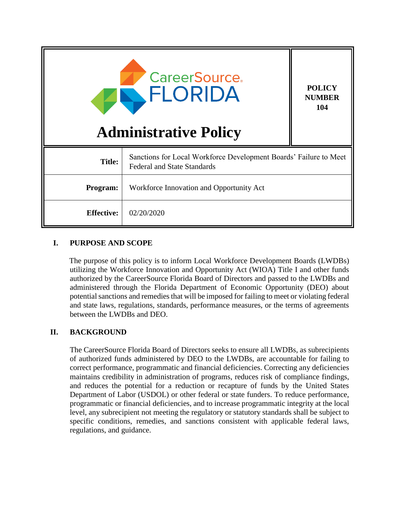| <b>CareerSource.</b><br>ELORIDA<br><b>Administrative Policy</b> |                                                                                                         | <b>POLICY</b><br><b>NUMBER</b><br>104 |
|-----------------------------------------------------------------|---------------------------------------------------------------------------------------------------------|---------------------------------------|
| <b>Title:</b>                                                   | Sanctions for Local Workforce Development Boards' Failure to Meet<br><b>Federal and State Standards</b> |                                       |
| Program:                                                        | Workforce Innovation and Opportunity Act                                                                |                                       |
| <b>Effective:</b>                                               | 02/20/2020                                                                                              |                                       |

### **I. PURPOSE AND SCOPE**

The purpose of this policy is to inform Local Workforce Development Boards (LWDBs) utilizing the Workforce Innovation and Opportunity Act (WIOA) Title I and other funds authorized by the CareerSource Florida Board of Directors and passed to the LWDBs and administered through the Florida Department of Economic Opportunity (DEO) about potential sanctions and remedies that will be imposed for failing to meet or violating federal and state laws, regulations, standards, performance measures, or the terms of agreements between the LWDBs and DEO.

## **II. BACKGROUND**

The CareerSource Florida Board of Directors seeks to ensure all LWDBs, as subrecipients of authorized funds administered by DEO to the LWDBs, are accountable for failing to correct performance, programmatic and financial deficiencies. Correcting any deficiencies maintains credibility in administration of programs, reduces risk of compliance findings, and reduces the potential for a reduction or recapture of funds by the United States Department of Labor (USDOL) or other federal or state funders. To reduce performance, programmatic or financial deficiencies, and to increase programmatic integrity at the local level, any subrecipient not meeting the regulatory or statutory standards shall be subject to specific conditions, remedies, and sanctions consistent with applicable federal laws, regulations, and guidance.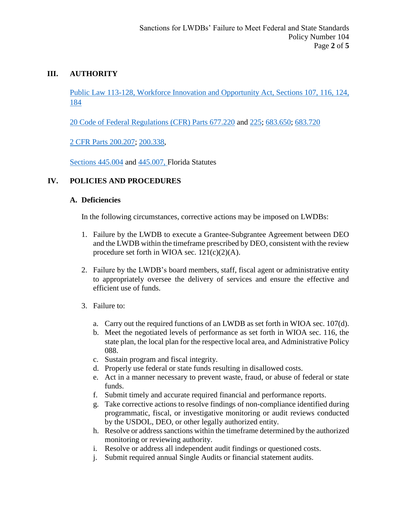## **III. AUTHORITY**

[Public Law 113-128, Workforce Innovation and Opportunity Act, Sections 107, 116, 124,](https://www.govinfo.gov/app/details/PLAW-113publ128)  [184](https://www.govinfo.gov/app/details/PLAW-113publ128)

[20 Code of Federal Regulations \(CFR\) Parts](https://www.ecfr.gov/cgi-bin/text-idx?SID=86f2b29914a9c1c79b0a55d4add62aef&mc=true&node=se20.4.677_1220&rgn=div8) 677.220 and [225;](https://www.ecfr.gov/cgi-bin/text-idx?SID=86f2b29914a9c1c79b0a55d4add62aef&mc=true&node=se20.4.677_1225&rgn=div8) [683.650;](https://www.ecfr.gov/cgi-bin/text-idx?SID=86f2b29914a9c1c79b0a55d4add62aef&mc=true&node=se20.4.683_1650&rgn=div8) [683.720](https://www.ecfr.gov/cgi-bin/retrieveECFR?gp=&SID=86f2b29914a9c1c79b0a55d4add62aef&mc=true&n=pt20.4.683&r=PART&ty=HTML#se20.4.683_1720)

[2 CFR Parts 200.207;](https://www.ecfr.gov/cgi-bin/text-idx?node=se2.1.200_1207&rgn=div8) [200.338,](https://www.ecfr.gov/cgi-bin/text-idx?SID=4a474331c98ed01a0272c6bff20842ae&mc=true&node=se2.1.200_1338&rgn=div8)

[Sections 445.004](http://www.leg.state.fl.us/Statutes/index.cfm?App_mode=Display_Statute&URL=0400-0499/0445/Sections/0445.004.html) and [445.007,](http://www.leg.state.fl.us/statutes/index.cfm?App_mode=Display_Statute&URL=0400-0499/0445/Sections/0445.007.html) Florida Statutes

## **IV. POLICIES AND PROCEDURES**

### **A. Deficiencies**

In the following circumstances, corrective actions may be imposed on LWDBs:

- 1. Failure by the LWDB to execute a Grantee-Subgrantee Agreement between DEO and the LWDB within the timeframe prescribed by DEO, consistent with the review procedure set forth in WIOA sec.  $121(c)(2)(A)$ .
- 2. Failure by the LWDB's board members, staff, fiscal agent or administrative entity to appropriately oversee the delivery of services and ensure the effective and efficient use of funds.
- 3. Failure to:
	- a. Carry out the required functions of an LWDB as set forth in WIOA sec. 107(d).
	- b. Meet the negotiated levels of performance as set forth in WIOA sec. 116, the state plan, the local plan for the respective local area, and Administrative Policy 088.
	- c. Sustain program and fiscal integrity.
	- d. Properly use federal or state funds resulting in disallowed costs.
	- e. Act in a manner necessary to prevent waste, fraud, or abuse of federal or state funds.
	- f. Submit timely and accurate required financial and performance reports.
	- g. Take corrective actions to resolve findings of non-compliance identified during programmatic, fiscal, or investigative monitoring or audit reviews conducted by the USDOL, DEO, or other legally authorized entity.
	- h. Resolve or address sanctions within the timeframe determined by the authorized monitoring or reviewing authority.
	- i. Resolve or address all independent audit findings or questioned costs.
	- j. Submit required annual Single Audits or financial statement audits.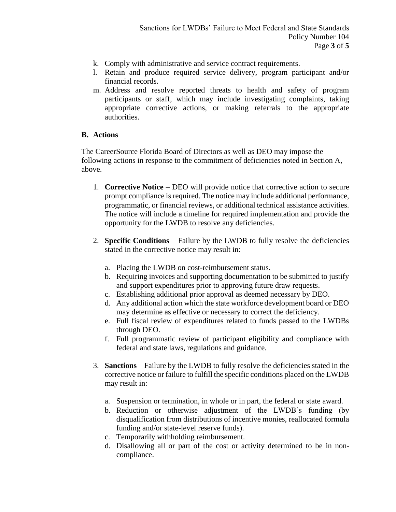- k. Comply with administrative and service contract requirements.
- l. Retain and produce required service delivery, program participant and/or financial records.
- m. Address and resolve reported threats to health and safety of program participants or staff, which may include investigating complaints, taking appropriate corrective actions, or making referrals to the appropriate authorities.

### **B. Actions**

The CareerSource Florida Board of Directors as well as DEO may impose the following actions in response to the commitment of deficiencies noted in Section A, above.

- 1. **Corrective Notice** DEO will provide notice that corrective action to secure prompt compliance is required. The notice may include additional performance, programmatic, or financial reviews, or additional technical assistance activities. The notice will include a timeline for required implementation and provide the opportunity for the LWDB to resolve any deficiencies.
- 2. **Specific Conditions** Failure by the LWDB to fully resolve the deficiencies stated in the corrective notice may result in:
	- a. Placing the LWDB on cost-reimbursement status.
	- b. Requiring invoices and supporting documentation to be submitted to justify and support expenditures prior to approving future draw requests.
	- c. Establishing additional prior approval as deemed necessary by DEO.
	- d. Any additional action which the state workforce development board or DEO may determine as effective or necessary to correct the deficiency.
	- e. Full fiscal review of expenditures related to funds passed to the LWDBs through DEO.
	- f. Full programmatic review of participant eligibility and compliance with federal and state laws, regulations and guidance.
- 3. **Sanctions** Failure by the LWDB to fully resolve the deficiencies stated in the corrective notice or failure to fulfill the specific conditions placed on the LWDB may result in:
	- a. Suspension or termination, in whole or in part, the federal or state award.
	- b. Reduction or otherwise adjustment of the LWDB's funding (by disqualification from distributions of incentive monies, reallocated formula funding and/or state-level reserve funds).
	- c. Temporarily withholding reimbursement.
	- d. Disallowing all or part of the cost or activity determined to be in noncompliance.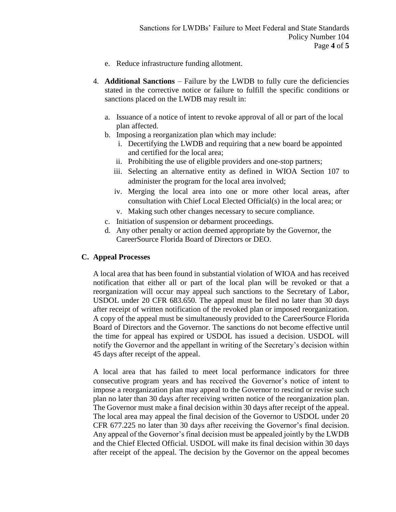- e. Reduce infrastructure funding allotment.
- 4. **Additional Sanctions** Failure by the LWDB to fully cure the deficiencies stated in the corrective notice or failure to fulfill the specific conditions or sanctions placed on the LWDB may result in:
	- a. Issuance of a notice of intent to revoke approval of all or part of the local plan affected.
	- b. Imposing a reorganization plan which may include:
		- i. Decertifying the LWDB and requiring that a new board be appointed and certified for the local area;
		- ii. Prohibiting the use of eligible providers and one-stop partners;
		- iii. Selecting an alternative entity as defined in WIOA Section 107 to administer the program for the local area involved;
		- iv. Merging the local area into one or more other local areas, after consultation with Chief Local Elected Official(s) in the local area; or
		- v. Making such other changes necessary to secure compliance.
	- c. Initiation of suspension or debarment proceedings.
	- d. Any other penalty or action deemed appropriate by the Governor, the CareerSource Florida Board of Directors or DEO.

#### **C. Appeal Processes**

A local area that has been found in substantial violation of WIOA and has received notification that either all or part of the local plan will be revoked or that a reorganization will occur may appeal such sanctions to the Secretary of Labor, USDOL under 20 CFR 683.650. The appeal must be filed no later than 30 days after receipt of written notification of the revoked plan or imposed reorganization. A copy of the appeal must be simultaneously provided to the CareerSource Florida Board of Directors and the Governor. The sanctions do not become effective until the time for appeal has expired or USDOL has issued a decision. USDOL will notify the Governor and the appellant in writing of the Secretary's decision within 45 days after receipt of the appeal.

A local area that has failed to meet local performance indicators for three consecutive program years and has received the Governor's notice of intent to impose a reorganization plan may appeal to the Governor to rescind or revise such plan no later than 30 days after receiving written notice of the reorganization plan. The Governor must make a final decision within 30 days after receipt of the appeal. The local area may appeal the final decision of the Governor to USDOL under 20 CFR 677.225 no later than 30 days after receiving the Governor's final decision. Any appeal of the Governor's final decision must be appealed jointly by the LWDB and the Chief Elected Official. USDOL will make its final decision within 30 days after receipt of the appeal. The decision by the Governor on the appeal becomes